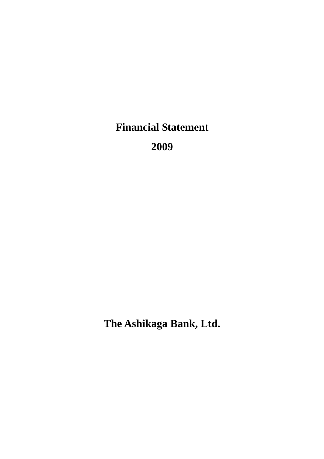**Financial Statement** 

**2009** 

**The Ashikaga Bank, Ltd.**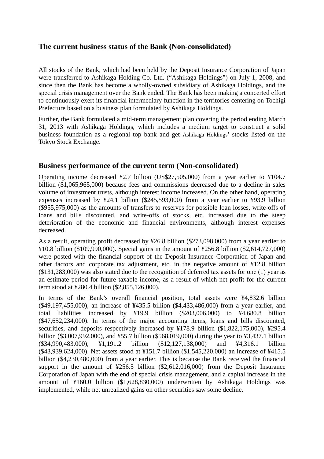## **The current business status of the Bank (Non-consolidated)**

All stocks of the Bank, which had been held by the Deposit Insurance Corporation of Japan were transferred to Ashikaga Holding Co. Ltd. ("Ashikaga Holdings") on July 1, 2008, and since then the Bank has become a wholly-owned subsidiary of Ashikaga Holdings, and the special crisis management over the Bank ended. The Bank has been making a concerted effort to continuously exert its financial intermediary function in the territories centering on Tochigi Prefecture based on a business plan formulated by Ashikaga Holdings.

Further, the Bank formulated a mid-term management plan covering the period ending March 31, 2013 with Ashikaga Holdings, which includes a medium target to construct a solid business foundation as a regional top bank and get Ashikaga Holdings' stocks listed on the Tokyo Stock Exchange.

## **Business performance of the current term (Non-consolidated)**

Operating income decreased ¥2.7 billion (US\$27,505,000) from a year earlier to ¥104.7 billion (\$1,065,965,000) because fees and commissions decreased due to a decline in sales volume of investment trusts, although interest income increased. On the other hand, operating expenses increased by ¥24.1 billion (\$245,593,000) from a year earlier to ¥93.9 billion (\$955,975,000) as the amounts of transfers to reserves for possible loan losses, write-offs of loans and bills discounted, and write-offs of stocks, etc. increased due to the steep deterioration of the economic and financial environments, although interest expenses decreased.

As a result, operating profit decreased by ¥26.8 billion (\$273,098,000) from a year earlier to ¥10.8 billion (\$109,990,000). Special gains in the amount of ¥256.8 billion (\$2,614,727,000) were posted with the financial support of the Deposit Insurance Corporation of Japan and other factors and corporate tax adjustment, etc. in the negative amount of ¥12.8 billion (\$131,283,000) was also stated due to the recognition of deferred tax assets for one (1) year as an estimate period for future taxable income, as a result of which net profit for the current term stood at ¥280.4 billion (\$2,855,126,000).

In terms of the Bank's overall financial position, total assets were ¥4,832.6 billion (\$49,197,455,000), an increase of ¥435.5 billion (\$4,433,486,000) from a year earlier, and total liabilities increased by ¥19.9 billion (\$203,006,000) to ¥4,680.8 billion (\$47,652,234,000). In terms of the major accounting items, loans and bills discounted, securities, and deposits respectively increased by ¥178.9 billion (\$1,822,175,000), ¥295.4 billion (\$3,007,992,000), and ¥55.7 billion (\$568,019,000) during the year to ¥3,437.1 billion (\$34,990,483,000), ¥1,191.2 billion (\$12,127,138,000) and ¥4,316.1 billion (\$43,939,624,000). Net assets stood at ¥151.7 billion (\$1,545,220,000) an increase of ¥415.5 billion (\$4,230,480,000) from a year earlier. This is because the Bank received the financial support in the amount of ¥256.5 billion (\$2,612,016,000) from the Deposit Insurance Corporation of Japan with the end of special crisis management, and a capital increase in the amount of ¥160.0 billion (\$1,628,830,000) underwritten by Ashikaga Holdings was implemented, while net unrealized gains on other securities saw some decline.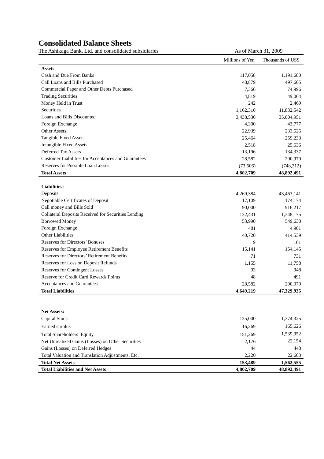# **Consolidated Balance Sheets**

The Ashikaga Bank, Ltd. and consolidated subsidiaries As of March 31, 2009

|                                                     | Millions of Yen | Thousands of US\$ |
|-----------------------------------------------------|-----------------|-------------------|
| <b>Assets</b>                                       |                 |                   |
| Cash and Due From Banks                             | 117,058         | 1,191,680         |
| Call Loans and Bills Purchased                      | 48,879          | 497,605           |
| Commercial Paper and Other Debts Purchased          | 7,366           | 74,996            |
| <b>Trading Securities</b>                           | 4,819           | 49,064            |
| Money Held in Trust                                 | 242             | 2,469             |
| Securities                                          | 1,162,310       | 11,832,542        |
| Loans and Bills Discounted                          | 3,438,536       | 35,004,951        |
| Foreign Exchange                                    | 4,300           | 43,777            |
| <b>Other Assets</b>                                 | 22,939          | 233,526           |
| <b>Tangible Fixed Assets</b>                        | 25,464          | 259,233           |
| <b>Intangible Fixed Assets</b>                      | 2,518           | 25,636            |
| <b>Deferred Tax Assets</b>                          | 13,196          | 134,337           |
| Customer Liabilities for Acceptances and Guarantees | 28,582          | 290,979           |
| Reserves for Possible Loan Losses                   | (73, 506)       | (748, 312)        |
| <b>Total Assets</b>                                 | 4,802,709       | 48,892,491        |
|                                                     |                 |                   |
| <b>Liabilities:</b>                                 |                 |                   |
| Deposits                                            | 4,269,384       | 43,463,141        |
| Negotiable Certificates of Deposit                  | 17,109          | 174,174           |
| Call money and Bills Sold                           | 90,000          | 916,217           |
| Collateral Deposits Received for Securities Lending | 132,431         | 1,348,175         |
| <b>Borrowed Money</b>                               | 53,990          | 549,630           |
| Foreign Exchange                                    | 481             | 4,901             |
| <b>Other Liabilities</b>                            | 40,720          | 414,539           |
| <b>Reserves for Directors' Bonuses</b>              | 9               | 101               |
| Reserves for Employee Retirement Benefits           | 15,141          | 154,145           |
| Reserves for Directors' Retirement Benefits         | 71              | 731               |
| Reserves for Loss on Deposit Refunds                | 1,155           | 11,758            |
| <b>Reserves for Contingent Losses</b>               | 93              | 948               |
| Reserve for Credit Card Rewards Points              | 48              | 491               |
|                                                     | 28,582          | 290,979           |
| Acceptances and Guarantees                          |                 |                   |

| <b>Net Assets:</b>                                |           |            |
|---------------------------------------------------|-----------|------------|
| Capital Stock                                     | 135,000   | 1,374,325  |
| Earned surplus                                    | 16.269    | 165,626    |
| <b>Total Shareholders' Equity</b>                 | 151.269   | 1,539,952  |
| Net Unrealized Gains (Losses) on Other Securities | 2,176     | 22,154     |
| Gains (Losses) on Deferred Hedges                 | 44        | 448        |
| Total Valuation and Translation Adjustments, Etc. | 2.220     | 22,603     |
| <b>Total Net Assets</b>                           | 153.489   | 1,562,555  |
| <b>Total Liabilities and Net Assets</b>           | 4,802,709 | 48,892,491 |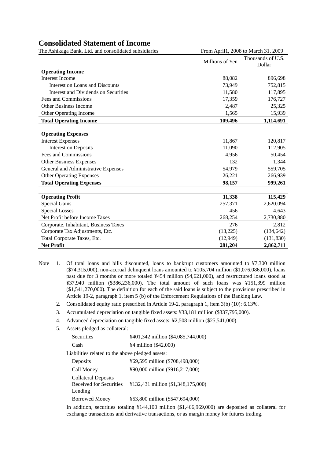### **Consolidated Statement of Income**

The Ashikaga Bank, Ltd. and consolidated subsidiaries From April1, 2008 to March 31, 2009

| ne <i>i</i> shinaga Danis, Ltd. and consondated subsidiaries |                             |
|--------------------------------------------------------------|-----------------------------|
| Millions of Yen                                              | Thousands of U.S.<br>Dollar |
|                                                              |                             |
| 88,082                                                       | 896,698                     |
| 73,949                                                       | 752,815                     |
| 11,580                                                       | 117,895                     |
| 17,359                                                       | 176,727                     |
| 2,487                                                        | 25,325                      |
| 1,565                                                        | 15,939                      |
| 109,496                                                      | 1,114,691                   |
|                                                              |                             |
|                                                              |                             |
| 11,867                                                       | 120,817                     |
| 11,090                                                       | 112,905                     |
| 4,956                                                        | 50,454                      |
| 132                                                          | 1,344                       |
| 54,979                                                       | 559,705                     |
| 26,221                                                       | 266,939                     |
| 98,157                                                       | 999,261                     |
|                                                              |                             |
| 11,338                                                       | 115,429                     |
| 257,371                                                      | 2,620,094                   |
| 456                                                          | 4,643                       |
| 268,254                                                      | 2,730,880                   |
| 276                                                          | 2,812                       |
| (13,225)                                                     | (134, 642)                  |
| (12, 949)                                                    | (131, 830)                  |
| 281,204                                                      | 2,862,711                   |
|                                                              |                             |

- Note 1. Of total loans and bills discounted, loans to bankrupt customers amounted to ¥7,300 million (\$74,315,000), non-accrual delinquent loans amounted to ¥105,704 million (\$1,076,086,000), loans past due for 3 months or more totaled ¥454 million (\$4,621,000), and restructured loans stood at ¥37,940 million (\$386,236,000). The total amount of such loans was ¥151,399 million (\$1,541,270,000). The definition for each of the said loans is subject to the provisions prescribed in Article 19-2, paragraph 1, item 5 (b) of the Enforcement Regulations of the Banking Law.
	- 2. Consolidated equity ratio prescribed in Article 19-2, paragraph 1, item 3(b) (10): 6.13%.
	- 3. Accumulated depreciation on tangible fixed assets: ¥33,181 million (\$337,795,000).
	- 4. Advanced depreciation on tangible fixed assets: ¥2,508 million (\$25,541,000).
	- 5. Assets pledged as collateral:

| Securities                                                       | ¥401,342 million (\$4,085,744,000) |
|------------------------------------------------------------------|------------------------------------|
| Cash                                                             | ¥4 million (\$42,000)              |
| Liabilities related to the above pledged assets:                 |                                    |
| Deposits                                                         | ¥69,595 million (\$708,498,000)    |
| Call Money                                                       | ¥90,000 million (\$916,217,000)    |
| <b>Collateral Deposits</b><br>Received for Securities<br>Lending | ¥132,431 million (\$1,348,175,000) |
| <b>Borrowed Money</b>                                            | ¥53,800 million (\$547,694,000)    |

 In addition, securities totaling ¥144,100 million (\$1,466,969,000) are deposited as collateral for exchange transactions and derivative transactions, or as margin money for futures trading.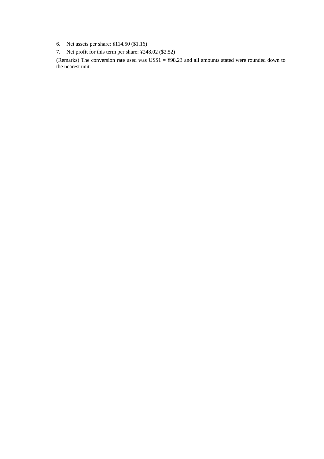- 6. Net assets per share: ¥114.50 (\$1.16)
- 7. Net profit for this term per share: ¥248.02 (\$2.52)

 (Remarks) The conversion rate used was US\$1 = ¥98.23 and all amounts stated were rounded down to the nearest unit.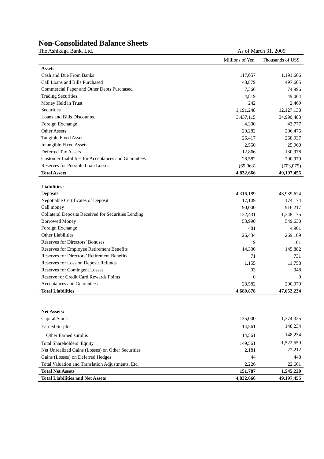#### **Non-Consolidated Balance Sheets**

The Ashikaga Bank, Ltd. As of March 31, 2009

Millions of Yen Thousands of US\$ **Assets**  Cash and Due From Banks 117,057 1,191,666 Call Loans and Bills Purchased 48,879 497,605 Commercial Paper and Other Debts Purchased 7,366 74,996 Trading Securities 4,819 49,064 Money Held in Trust 242 2,469 Securities 1,191,248 12,127,138 Loans and Bills Discounted 3,437,115 34,990,483 Foreign Exchange 4,300 43,777 Other Assets 20,282 206,476 Tangible Fixed Assets 268,937 Intangible Fixed Assets 2,550 25,960 Deferred Tax Assets 12,866 130,978 Customer Liabilities for Acceptances and Guarantees 28,582 290,979 Reserves for Possible Loan Losses (69,063) (703,079) **Total Assets 4,832,666 49,197,455 Liabilities:**  Deposits 4,316,189 43,939,624 Negotiable Certificates of Deposit 17,109 174,174 Call money 90,000 916,217 Collateral Deposits Received for Securities Lending 132,431 1,348,175 Borrowed Money 53,990 549,630 Foreign Exchange 481 4,901 Other Liabilities 269,109 Reserves for Directors' Bonuses 6 101 Reserves for Employee Retirement Benefits 14,330 145,882 Reserves for Directors' Retirement Benefits 71 731 Reserves for Loss on Deposit Refunds 1,155 11,758 11,758 Reserves for Contingent Losses 93 948 Reserve for Credit Card Rewards Points 0 0 Acceptances and Guarantees 28,582 290,979 **Total Liabilities 4,680,878 47,652,234 Net Assets:** 

| <b>Total Liabilities and Net Assets</b>           | 4,832,666 | 49,197,455 |
|---------------------------------------------------|-----------|------------|
| <b>Total Net Assets</b>                           | 151,787   | 1,545,220  |
| Total Valuation and Translation Adjustments, Etc. | 2,226     | 22,661     |
| Gains (Losses) on Deferred Hedges                 | 44        | 448        |
| Net Unrealized Gains (Losses) on Other Securities | 2,181     | 22,212     |
| <b>Total Shareholders' Equity</b>                 | 149.561   | 1,522,559  |
| Other Earned surplus                              | 14.561    | 148,234    |
| Earned Surplus                                    | 14,561    | 148,234    |
| Capital Stock                                     | 135,000   | 1,374,325  |
| 11 UU 139 UU 190                                  |           |            |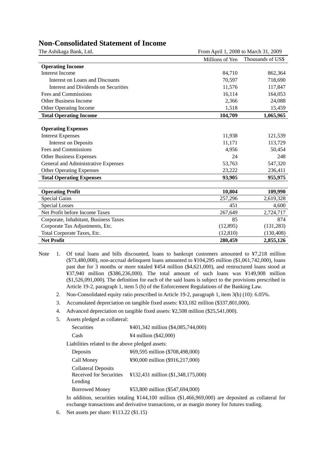| <b>Non-Consolidated Statement of Income</b> |  |  |
|---------------------------------------------|--|--|
|---------------------------------------------|--|--|

| The Ashikaga Bank, Ltd.               | From April 1, 2008 to March 31, 2009 |                   |
|---------------------------------------|--------------------------------------|-------------------|
|                                       | Millions of Yen                      | Thousands of US\$ |
| <b>Operating Income</b>               |                                      |                   |
| <b>Interest Income</b>                | 84,710                               | 862,364           |
| Interest on Loans and Discounts       | 70,597                               | 718,690           |
| Interest and Dividends on Securities  | 11,576                               | 117,847           |
| Fees and Commissions                  | 16,114                               | 164,053           |
| <b>Other Business Income</b>          | 2,366                                | 24,088            |
| <b>Other Operating Income</b>         | 1,518                                | 15,459            |
| <b>Total Operating Income</b>         | 104,709                              | 1,065,965         |
|                                       |                                      |                   |
| <b>Operating Expenses</b>             |                                      |                   |
| <b>Interest Expenses</b>              | 11,938                               | 121,539           |
| <b>Interest on Deposits</b>           | 11,171                               | 113,729           |
| Fees and Commissions                  | 4,956                                | 50,454            |
| Other Business Expenses               | 24                                   | 248               |
| General and Administrative Expenses   | 53,763                               | 547,320           |
| <b>Other Operating Expenses</b>       | 23,222                               | 236,411           |
| <b>Total Operating Expenses</b>       | 93,905                               | 955,975           |
|                                       |                                      |                   |
| <b>Operating Profit</b>               | 10,804                               | 109,990           |
| <b>Special Gains</b>                  | 257,296                              | 2,619,328         |
| Special Losses                        | 451                                  | 4,600             |
| Net Profit before Income Taxes        | 267,649                              | 2,724,717         |
| Corporate, Inhabitant, Business Taxes | 85                                   | 874               |
| Corporate Tax Adjustments, Etc.       | (12,895)                             | (131, 283)        |
| Total Corporate Taxes, Etc.           | (12, 810)                            | (130, 408)        |
| <b>Net Profit</b>                     | 280,459                              | 2,855,126         |

- Note 1. Of total loans and bills discounted, loans to bankrupt customers amounted to ¥7,218 million (\$73,480,000), non-accrual delinquent loans amounted to ¥104,295 million (\$1,061,742,000), loans past due for 3 months or more totaled ¥454 million (\$4,621,000), and restructured loans stood at ¥37,940 million (\$386,236,000). The total amount of such loans was ¥149,908 million (\$1,526,091,000). The definition for each of the said loans is subject to the provisions prescribed in Article 19-2, paragraph 1, item 5 (b) of the Enforcement Regulations of the Banking Law.
	- 2. Non-Consolidated equity ratio prescribed in Article 19-2, paragraph 1, item 3(b) (10): 6.05%.
	- 3. Accumulated depreciation on tangible fixed assets: ¥33,182 million (\$337,801,000).
	- 4. Advanced depreciation on tangible fixed assets: ¥2,508 million (\$25,541,000).
	- 5. Assets pledged as collateral:

| Securities                                                       | ¥401,342 million (\$4,085,744,000) |
|------------------------------------------------------------------|------------------------------------|
| Cash                                                             | ¥4 million (\$42,000)              |
| Liabilities related to the above pledged assets:                 |                                    |
| Deposits                                                         | ¥69,595 million (\$708,498,000)    |
| Call Money                                                       | ¥90,000 million (\$916,217,000)    |
| <b>Collateral Deposits</b><br>Received for Securities<br>Lending | ¥132,431 million (\$1,348,175,000) |
| <b>Borrowed Money</b>                                            | ¥53,800 million (\$547,694,000)    |

 In addition, securities totaling ¥144,100 million (\$1,466,969,000) are deposited as collateral for exchange transactions and derivative transactions, or as margin money for futures trading.

6. Net assets per share: ¥113.22 (\$1.15)